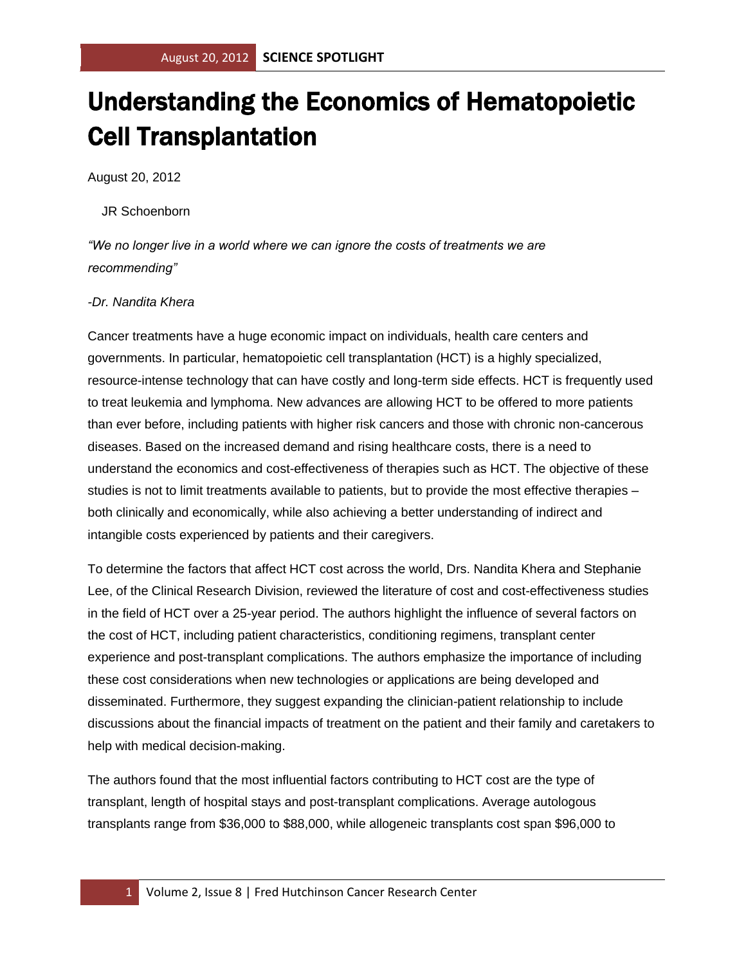## Understanding the Economics of Hematopoietic Cell Transplantation

August 20, 2012

## JR Schoenborn

*"We no longer live in a world where we can ignore the costs of treatments we are recommending"*

## *-Dr. Nandita Khera*

Cancer treatments have a huge economic impact on individuals, health care centers and governments. In particular, hematopoietic cell transplantation (HCT) is a highly specialized, resource-intense technology that can have costly and long-term side effects. HCT is frequently used to treat leukemia and lymphoma. New advances are allowing HCT to be offered to more patients than ever before, including patients with higher risk cancers and those with chronic non-cancerous diseases. Based on the increased demand and rising healthcare costs, there is a need to understand the economics and cost-effectiveness of therapies such as HCT. The objective of these studies is not to limit treatments available to patients, but to provide the most effective therapies – both clinically and economically, while also achieving a better understanding of indirect and intangible costs experienced by patients and their caregivers.

To determine the factors that affect HCT cost across the world, Drs. Nandita Khera and Stephanie Lee, of the Clinical Research Division, reviewed the literature of cost and cost-effectiveness studies in the field of HCT over a 25-year period. The authors highlight the influence of several factors on the cost of HCT, including patient characteristics, conditioning regimens, transplant center experience and post-transplant complications. The authors emphasize the importance of including these cost considerations when new technologies or applications are being developed and disseminated. Furthermore, they suggest expanding the clinician-patient relationship to include discussions about the financial impacts of treatment on the patient and their family and caretakers to help with medical decision-making.

The authors found that the most influential factors contributing to HCT cost are the type of transplant, length of hospital stays and post-transplant complications. Average autologous transplants range from \$36,000 to \$88,000, while allogeneic transplants cost span \$96,000 to